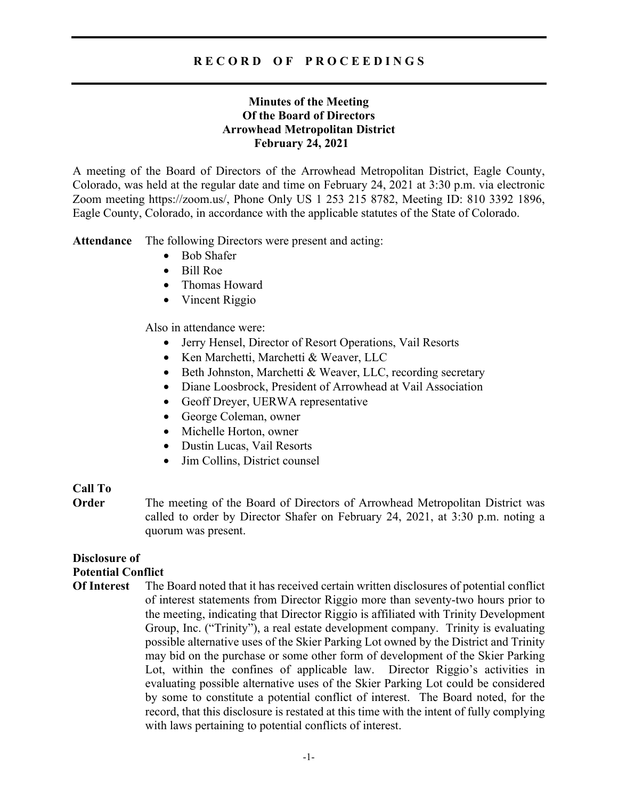## **Minutes of the Meeting Of the Board of Directors Arrowhead Metropolitan District February 24, 2021**

A meeting of the Board of Directors of the Arrowhead Metropolitan District, Eagle County, Colorado, was held at the regular date and time on February 24, 2021 at 3:30 p.m. via electronic Zoom meeting https://zoom.us/, Phone Only US 1 253 215 8782, Meeting ID: 810 3392 1896, Eagle County, Colorado, in accordance with the applicable statutes of the State of Colorado.

**Attendance** The following Directors were present and acting:

- Bob Shafer
- Bill Roe
- Thomas Howard
- Vincent Riggio

Also in attendance were:

- Jerry Hensel, Director of Resort Operations, Vail Resorts
- Ken Marchetti, Marchetti & Weaver, LLC
- Beth Johnston, Marchetti & Weaver, LLC, recording secretary
- Diane Loosbrock, President of Arrowhead at Vail Association
- Geoff Dreyer, UERWA representative
- George Coleman, owner
- Michelle Horton, owner
- Dustin Lucas, Vail Resorts
- Jim Collins, District counsel

## **Call To**

**Order** The meeting of the Board of Directors of Arrowhead Metropolitan District was called to order by Director Shafer on February 24, 2021, at 3:30 p.m. noting a quorum was present.

# **Disclosure of**

# **Potential Conflict**

**Of Interest** The Board noted that it has received certain written disclosures of potential conflict of interest statements from Director Riggio more than seventy-two hours prior to the meeting, indicating that Director Riggio is affiliated with Trinity Development Group, Inc. ("Trinity"), a real estate development company. Trinity is evaluating possible alternative uses of the Skier Parking Lot owned by the District and Trinity may bid on the purchase or some other form of development of the Skier Parking Lot, within the confines of applicable law. Director Riggio's activities in evaluating possible alternative uses of the Skier Parking Lot could be considered by some to constitute a potential conflict of interest. The Board noted, for the record, that this disclosure is restated at this time with the intent of fully complying with laws pertaining to potential conflicts of interest.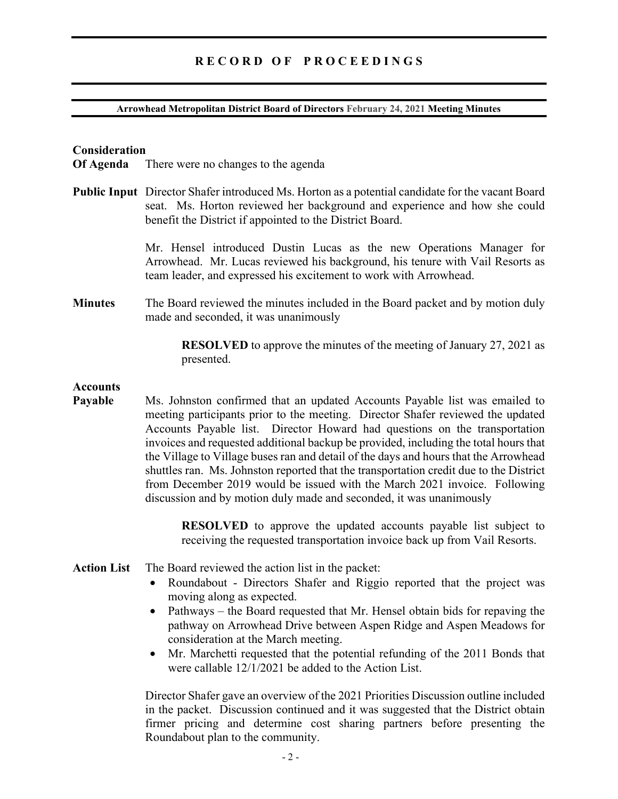#### **Arrowhead Metropolitan District Board of Directors February 24, 2021 Meeting Minutes**

### **Consideration**

**Of Agenda** There were no changes to the agenda

**Public Input** Director Shafer introduced Ms. Horton as a potential candidate for the vacant Board seat. Ms. Horton reviewed her background and experience and how she could benefit the District if appointed to the District Board.

> Mr. Hensel introduced Dustin Lucas as the new Operations Manager for Arrowhead. Mr. Lucas reviewed his background, his tenure with Vail Resorts as team leader, and expressed his excitement to work with Arrowhead.

**Minutes** The Board reviewed the minutes included in the Board packet and by motion duly made and seconded, it was unanimously

> **RESOLVED** to approve the minutes of the meeting of January 27, 2021 as presented.

#### **Accounts**

**Payable** Ms. Johnston confirmed that an updated Accounts Payable list was emailed to meeting participants prior to the meeting. Director Shafer reviewed the updated Accounts Payable list. Director Howard had questions on the transportation invoices and requested additional backup be provided, including the total hours that the Village to Village buses ran and detail of the days and hours that the Arrowhead shuttles ran. Ms. Johnston reported that the transportation credit due to the District from December 2019 would be issued with the March 2021 invoice. Following discussion and by motion duly made and seconded, it was unanimously

> **RESOLVED** to approve the updated accounts payable list subject to receiving the requested transportation invoice back up from Vail Resorts.

#### **Action List** The Board reviewed the action list in the packet:

- Roundabout Directors Shafer and Riggio reported that the project was moving along as expected.
- Pathways the Board requested that Mr. Hensel obtain bids for repaving the pathway on Arrowhead Drive between Aspen Ridge and Aspen Meadows for consideration at the March meeting.
- Mr. Marchetti requested that the potential refunding of the 2011 Bonds that were callable 12/1/2021 be added to the Action List.

Director Shafer gave an overview of the 2021 Priorities Discussion outline included in the packet. Discussion continued and it was suggested that the District obtain firmer pricing and determine cost sharing partners before presenting the Roundabout plan to the community.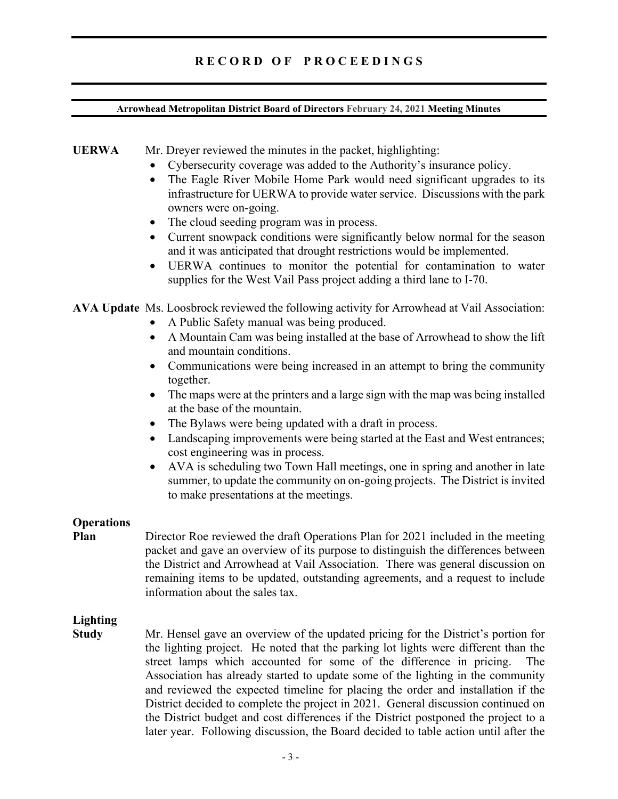## **Arrowhead Metropolitan District Board of Directors February 24, 2021 Meeting Minutes**

## **UERWA** Mr. Dreyer reviewed the minutes in the packet, highlighting:

- Cybersecurity coverage was added to the Authority's insurance policy.
- The Eagle River Mobile Home Park would need significant upgrades to its infrastructure for UERWA to provide water service. Discussions with the park owners were on-going.
- The cloud seeding program was in process.
- Current snowpack conditions were significantly below normal for the season and it was anticipated that drought restrictions would be implemented.
- UERWA continues to monitor the potential for contamination to water supplies for the West Vail Pass project adding a third lane to I-70.

**AVA Update** Ms. Loosbrock reviewed the following activity for Arrowhead at Vail Association:

- A Public Safety manual was being produced.
- A Mountain Cam was being installed at the base of Arrowhead to show the lift and mountain conditions.
- Communications were being increased in an attempt to bring the community together.
- The maps were at the printers and a large sign with the map was being installed at the base of the mountain.
- The Bylaws were being updated with a draft in process.
- Landscaping improvements were being started at the East and West entrances; cost engineering was in process.
- AVA is scheduling two Town Hall meetings, one in spring and another in late summer, to update the community on on-going projects. The District is invited to make presentations at the meetings.

## **Operations**

# **Plan** Director Roe reviewed the draft Operations Plan for 2021 included in the meeting packet and gave an overview of its purpose to distinguish the differences between the District and Arrowhead at Vail Association. There was general discussion on remaining items to be updated, outstanding agreements, and a request to include information about the sales tax.

# **Lighting**

**Study** Mr. Hensel gave an overview of the updated pricing for the District's portion for the lighting project. He noted that the parking lot lights were different than the street lamps which accounted for some of the difference in pricing. The Association has already started to update some of the lighting in the community and reviewed the expected timeline for placing the order and installation if the District decided to complete the project in 2021. General discussion continued on the District budget and cost differences if the District postponed the project to a later year. Following discussion, the Board decided to table action until after the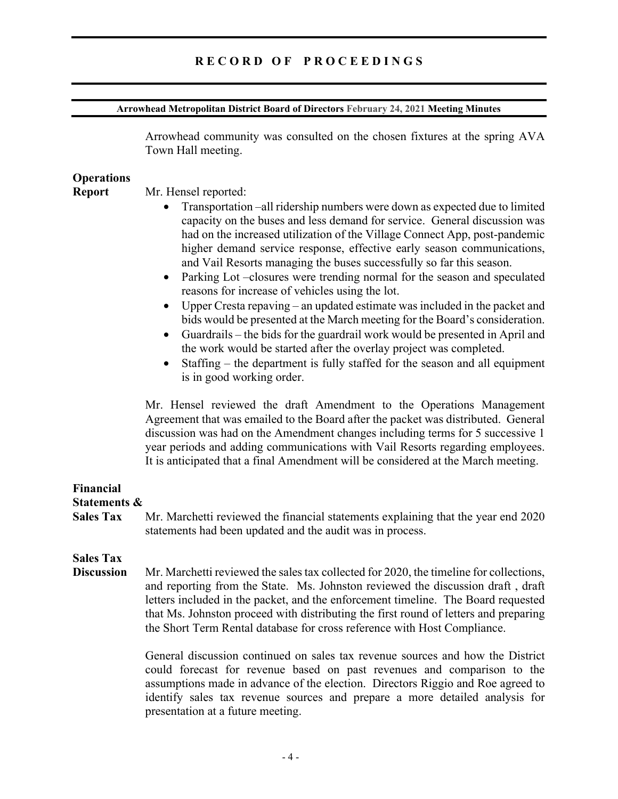#### **Arrowhead Metropolitan District Board of Directors February 24, 2021 Meeting Minutes**

Arrowhead community was consulted on the chosen fixtures at the spring AVA Town Hall meeting.

## **Operations**

**Report** Mr. Hensel reported:

- Transportation –all ridership numbers were down as expected due to limited capacity on the buses and less demand for service. General discussion was had on the increased utilization of the Village Connect App, post-pandemic higher demand service response, effective early season communications, and Vail Resorts managing the buses successfully so far this season.
- Parking Lot –closures were trending normal for the season and speculated reasons for increase of vehicles using the lot.
- Upper Cresta repaving an updated estimate was included in the packet and bids would be presented at the March meeting for the Board's consideration.
- Guardrails the bids for the guardrail work would be presented in April and the work would be started after the overlay project was completed.
- Staffing the department is fully staffed for the season and all equipment is in good working order.

Mr. Hensel reviewed the draft Amendment to the Operations Management Agreement that was emailed to the Board after the packet was distributed. General discussion was had on the Amendment changes including terms for 5 successive 1 year periods and adding communications with Vail Resorts regarding employees. It is anticipated that a final Amendment will be considered at the March meeting.

## **Financial Statements &**

**Sales Tax** Mr. Marchetti reviewed the financial statements explaining that the year end 2020 statements had been updated and the audit was in process.

# **Sales Tax**

**Discussion** Mr. Marchetti reviewed the sales tax collected for 2020, the timeline for collections, and reporting from the State. Ms. Johnston reviewed the discussion draft , draft letters included in the packet, and the enforcement timeline. The Board requested that Ms. Johnston proceed with distributing the first round of letters and preparing the Short Term Rental database for cross reference with Host Compliance.

> General discussion continued on sales tax revenue sources and how the District could forecast for revenue based on past revenues and comparison to the assumptions made in advance of the election. Directors Riggio and Roe agreed to identify sales tax revenue sources and prepare a more detailed analysis for presentation at a future meeting.